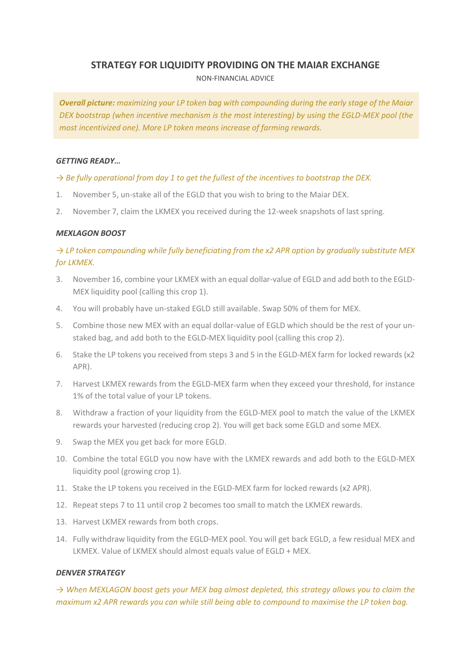# **STRATEGY FOR LIQUIDITY PROVIDING ON THE MAIAR EXCHANGE**

NON-FINANCIAL ADVICE

*Overall picture: maximizing your LP token bag with compounding during the early stage of the Maiar DEX bootstrap (when incentive mechanism is the most interesting) by using the EGLD-MEX pool (the most incentivized one). More LP token means increase of farming rewards.*

### *GETTING READY…*

## *→ Be fully operational from day 1 to get the fullest of the incentives to bootstrap the DEX.*

- 1. November 5, un-stake all of the EGLD that you wish to bring to the Maiar DEX.
- 2. November 7, claim the LKMEX you received during the 12-week snapshots of last spring.

## *MEXLAGON BOOST*

# *→ LP token compounding while fully beneficiating from the x2 APR option by gradually substitute MEX for LKMEX.*

- 3. November 16, combine your LKMEX with an equal dollar-value of EGLD and add both to the EGLD-MEX liquidity pool (calling this crop 1).
- 4. You will probably have un-staked EGLD still available. Swap 50% of them for MEX.
- 5. Combine those new MEX with an equal dollar-value of EGLD which should be the rest of your unstaked bag, and add both to the EGLD-MEX liquidity pool (calling this crop 2).
- 6. Stake the LP tokens you received from steps 3 and 5 in the EGLD-MEX farm for locked rewards (x2 APR).
- 7. Harvest LKMEX rewards from the EGLD-MEX farm when they exceed your threshold, for instance 1% of the total value of your LP tokens.
- 8. Withdraw a fraction of your liquidity from the EGLD-MEX pool to match the value of the LKMEX rewards your harvested (reducing crop 2). You will get back some EGLD and some MEX.
- 9. Swap the MEX you get back for more EGLD.
- 10. Combine the total EGLD you now have with the LKMEX rewards and add both to the EGLD-MEX liquidity pool (growing crop 1).
- 11. Stake the LP tokens you received in the EGLD-MEX farm for locked rewards (x2 APR).
- 12. Repeat steps 7 to 11 until crop 2 becomes too small to match the LKMEX rewards.
- 13. Harvest LKMEX rewards from both crops.
- 14. Fully withdraw liquidity from the EGLD-MEX pool. You will get back EGLD, a few residual MEX and LKMEX. Value of LKMEX should almost equals value of EGLD + MEX.

#### *DENVER STRATEGY*

*→ When MEXLAGON boost gets your MEX bag almost depleted, this strategy allows you to claim the maximum x2 APR rewards you can while still being able to compound to maximise the LP token bag.*